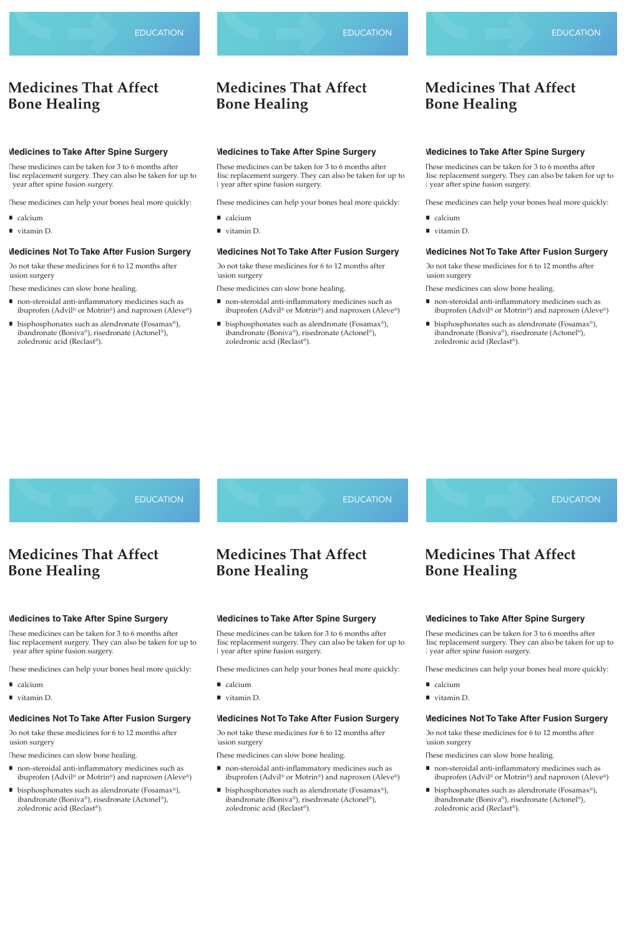#### **Medicines to Take After Spine Surgery**

These medicines can be taken for 3 to 6 months after disc replacement surgery. They can also be taken for up to 1 year after spine fusion surgery.

Do not take these medicines for 6 to 12 months after usion surgery

These medicines can help your bones heal more quickly:

- calcium
- vitamin D.

#### **Medicines Not To Take After Fusion Surgery**

These medicines can slow bone healing.

- non-steroidal anti-inflammatory medicines such as ibuprofen (Advil*®* or Motrin*®*) and naproxen (Aleve*®*)
- bisphosphonates such as alendronate (Fosamax<sup>®</sup>), ibandronate (Boniva*®*), risedronate (Actonel*®*), zoledronic acid (Reclast*®*).

Do not take these medicines for 6 to 12 months after usion surgery

### **EDUCATION**

## **Medicines That Affect Bone Healing**

- non-steroidal anti-inflammatory medicines such as ibuprofen (Advil*®* or Motrin*®*) and naproxen (Aleve*®*)
- bisphosphonates such as alendronate (Fosamax<sup>®</sup>), ibandronate (Boniva*®*), risedronate (Actonel*®*), zoledronic acid (Reclast*®*).

These medicines can be taken for 3 to 6 months after disc replacement surgery. They can also be taken for up to Do not take these medicines for 6 to 12 months after usion surgery

1 year after spine fusion surgery.

These medicines can help your bones heal more quickly:

calcium

■ vitamin D.

## **Medicines Not To Take After Fusion Surgery**

These medicines can slow bone healing.

Do not take these medicines for 6 to 12 months after usion surgery

- non-steroidal anti-inflammatory medicines such as ibuprofen (Advil*®* or Motrin*®*) and naproxen (Aleve*®*)
- bisphosphonates such as alendronate (Fosamax<sup>®</sup>), ibandronate (Boniva*®*), risedronate (Actonel*®*), zoledronic acid (Reclast*®*).

#### **Medicines to Take After Spine Surgery**

These medicines can be taken for 3 to 6 months after disc replacement surgery. They can also be taken for up to 1 year after spine fusion surgery.

**EDUCATION** 

Do not take these medicines for 6 to 12 months after usion surgery

These medicines can help your bones heal more quickly:

- calcium
- vitamin D.

#### **Medicines Not To Take After Fusion Surgery**

- non-steroidal anti-inflammatory medicines such as ibuprofen (Advil*®* or Motrin*®*) and naproxen (Aleve*®*)
- bisphosphonates such as alendronate (Fosamax<sup>®</sup>), ibandronate (Boniva*®*), risedronate (Actonel*®*), zoledronic acid (Reclast*®*).

These medicines can slow bone healing.

- non-steroidal anti-inflammatory medicines such as ibuprofen (Advil*®* or Motrin*®*) and naproxen (Aleve*®*)
- bisphosphonates such as alendronate (Fosamax<sup>®</sup>), ibandronate (Boniva*®*), risedronate (Actonel*®*), zoledronic acid (Reclast*®*).

Do not take these medicines for 6 to 12 months after usion surgery

# **Medicines That Affect Bone Healing**

- non-steroidal anti-inflammatory medicines such as ibuprofen (Advil*®* or Motrin*®*) and naproxen (Aleve*®*)
- bisphosphonates such as alendronate (Fosamax<sup>®</sup>), ibandronate (Boniva*®*), risedronate (Actonel*®*), zoledronic acid (Reclast*®*).

#### **Medicines to Take After Spine Surgery**

These medicines can be taken for 3 to 6 months after disc replacement surgery. They can also be taken for up to

1 year after spine fusion surgery.

These medicines can help your bones heal more quickly:

■ calcium

■ vitamin D.

### **Medicines Not To Take After Fusion Surgery**

EDUCATION **Medicines to Take After Spine Surgery Medicines That Affect Bone Healing** EDUCATION **Medicines That Affect Bone Healing EDUCATION Medicines That Affect Bone Healing**

These medicines can slow bone healing.

#### **Medicines to Take After Spine Surgery**

These medicines can be taken for 3 to 6 months after disc replacement surgery. They can also be taken for up to 1 year after spine fusion surgery.

These medicines can help your bones heal more quickly:

- calcium
- vitamin D.

#### **Medicines Not To Take After Fusion Surgery**

These medicines can slow bone healing.

## **Medicines That Affect Bone Healing**

#### **Medicines to Take After Spine Surgery**

These medicines can be taken for 3 to 6 months after disc replacement surgery. They can also be taken for up to

1 year after spine fusion surgery.

These medicines can help your bones heal more quickly:

calcium

vitamin D.

## **Medicines Not To Take After Fusion Surgery**

These medicines can slow bone healing.